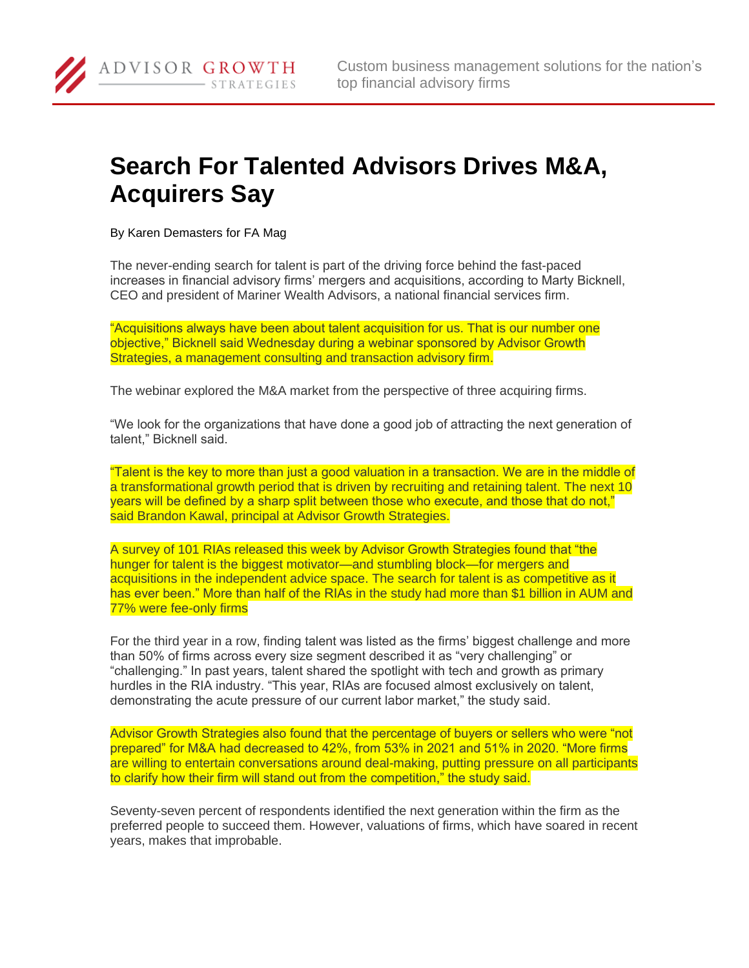## **Search For Talented Advisors Drives M&A, Acquirers Say**

By Karen Demasters for FA Mag

ADVISOR GROWTH

STRATEGIES

The never-ending search for talent is part of the driving force behind the fast-paced increases in financial advisory firms' mergers and acquisitions, according to Marty Bicknell, CEO and president of Mariner Wealth Advisors, a national financial services firm.

"Acquisitions always have been about talent acquisition for us. That is our number one objective," Bicknell said Wednesday during a webinar sponsored by Advisor Growth Strategies, a management consulting and transaction advisory firm.

The webinar explored the M&A market from the perspective of three acquiring firms.

"We look for the organizations that have done a good job of attracting the next generation of talent," Bicknell said.

"Talent is the key to more than just a good valuation in a transaction. We are in the middle of a transformational growth period that is driven by recruiting and retaining talent. The next 10 years will be defined by a sharp split between those who execute, and those that do not," said Brandon Kawal, principal at Advisor Growth Strategies.

A survey of 101 RIAs released this week by Advisor Growth Strategies found that "the hunger for talent is the biggest motivator—and stumbling block—for mergers and acquisitions in the independent advice space. The search for talent is as competitive as it has ever been." More than half of the RIAs in the study had more than \$1 billion in AUM and 77% were fee-only firms

For the third year in a row, finding talent was listed as the firms' biggest challenge and more than 50% of firms across every size segment described it as "very challenging" or "challenging." In past years, talent shared the spotlight with tech and growth as primary hurdles in the RIA industry. "This year, RIAs are focused almost exclusively on talent, demonstrating the acute pressure of our current labor market," the study said.

Advisor Growth Strategies also found that the percentage of buyers or sellers who were "not prepared" for M&A had decreased to 42%, from 53% in 2021 and 51% in 2020. "More firms are willing to entertain conversations around deal-making, putting pressure on all participants to clarify how their firm will stand out from the competition," the study said.

Seventy-seven percent of respondents identified the next generation within the firm as the preferred people to succeed them. However, valuations of firms, which have soared in recent years, makes that improbable.